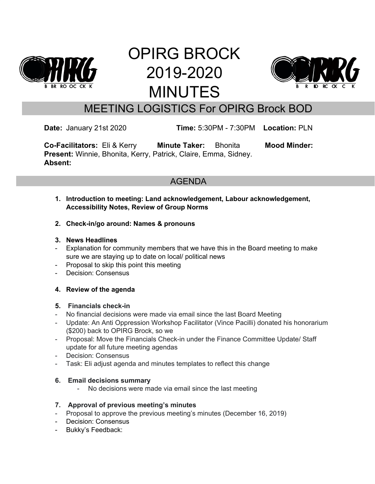

# OPIRG BROCK 2019-2020 MINUTES



# MEETING LOGISTICS For OPIRG Brock BOD

**Date:** January 21st 2020 **Time:** 5:30PM - 7:30PM **Location:** PLN

**Co-Facilitators:** Eli & Kerry **Minute Taker:** Bhonita **Mood Minder: Present:** Winnie, Bhonita, Kerry, Patrick, Claire, Emma, Sidney. **Absent:**

# AGENDA

- **1. Introduction to meeting: Land acknowledgement, Labour acknowledgement, Accessibility Notes, Review of Group Norms**
- **2. Check-in/go around: Names & pronouns**

#### **3. News Headlines**

- Explanation for community members that we have this in the Board meeting to make sure we are staying up to date on local/ political news
- Proposal to skip this point this meeting
- Decision: Consensus

#### **4. Review of the agenda**

#### **5. Financials check-in**

- No financial decisions were made via email since the last Board Meeting
- Update: An Anti Oppression Workshop Facilitator (Vince Pacilli) donated his honorarium (\$200) back to OPIRG Brock, so we
- Proposal: Move the Financials Check-in under the Finance Committee Update/ Staff update for all future meeting agendas
- Decision: Consensus
- Task: Eli adjust agenda and minutes templates to reflect this change

#### **6. Email decisions summary**

No decisions were made via email since the last meeting

#### **7. Approval of previous meeting's minutes**

- Proposal to approve the previous meeting's minutes (December 16, 2019)
- Decision: Consensus
- Bukky's Feedback: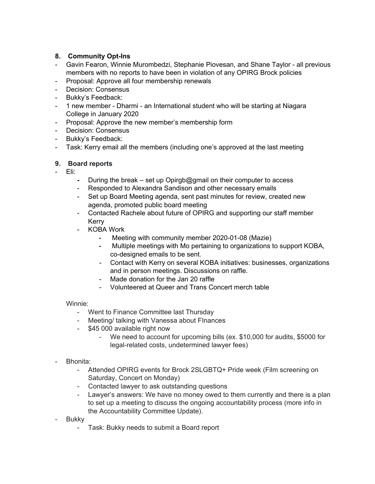#### **8. Community Opt-Ins**

- Gavin Fearon, Winnie Murombedzi, Stephanie Piovesan, and Shane Taylor all previous members with no reports to have been in violation of any OPIRG Brock policies
- Proposal: Approve all four membership renewals
- Decision: Consensus
- Bukky's Feedback:
- 1 new member Dharmi an International student who will be starting at Niagara College in January 2020
- Proposal: Approve the new member's membership form
- Decision: Consensus
- Bukky's Feedback:
- Task: Kerry email all the members (including one's approved at the last meeting

#### **9. Board reports**

- Eli:
	- **-** During the break set up Opirgb@gmail on their computer to access
	- Responded to Alexandra Sandison and other necessary emails
	- Set up Board Meeting agenda, sent past minutes for review, created new agenda, promoted public board meeting
	- Contacted Rachele about future of OPIRG and supporting our staff member Kerry
	- KOBA Work
		- **-** Meeting with community member 2020-01-08 (Mazie)
		- **-** Multiple meetings with Mo pertaining to organizations to support KOBA, co-designed emails to be sent.
		- Contact with Kerry on several KOBA initiatives: businesses, organizations and in person meetings. Discussions on raffle.
		- Made donation for the Jan 20 raffle
		- Volunteered at Queer and Trans Concert merch table

#### Winnie:

- Went to Finance Committee last Thursday
- Meeting/ talking with Vanessa about FInances
- \$45 000 available right now
	- We need to account for upcoming bills (ex. \$10,000 for audits, \$5000 for legal-related costs, undetermined lawyer fees)

#### - Bhonita:

- Attended OPIRG events for Brock 2SLGBTQ+ Pride week (Film screening on Saturday, Concert on Monday)
- Contacted lawyer to ask outstanding questions
- Lawyer's answers: We have no money owed to them currently and there is a plan to set up a meeting to discuss the ongoing accountability process (more info in the Accountability Committee Update).
- **Bukky** 
	- Task: Bukky needs to submit a Board report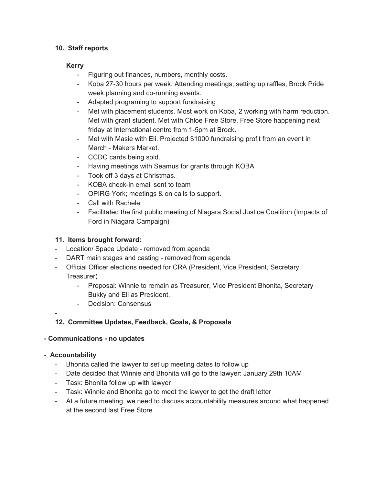#### **10. Staff reports**

#### **Kerry**

- Figuring out finances, numbers, monthly costs.
- Koba 27-30 hours per week. Attending meetings, setting up raffles, Brock Pride week planning and co-running events.
- Adapted programing to support fundraising
- Met with placement students. Most work on Koba, 2 working with harm reduction. Met with grant student. Met with Chloe Free Store. Free Store happening next friday at International centre from 1-5pm at Brock.
- Met with Masie with Eli. Projected \$1000 fundraising profit from an event in March - Makers Market.
- CCDC cards being sold.
- Having meetings with Seamus for grants through KOBA
- Took off 3 days at Christmas.
- KOBA check-in email sent to team
- OPIRG York; meetings & on calls to support.
- Call with Rachele
- Facilitated the first public meeting of Niagara Social Justice Coalition (Impacts of Ford in Niagara Campaign)

#### **11. Items brought forward:**

- Location/ Space Update removed from agenda
- DART main stages and casting removed from agenda
- Official Officer elections needed for CRA (President, Vice President, Secretary, Treasurer)
	- Proposal: Winnie to remain as Treasurer, Vice President Bhonita, Secretary Bukky and Eli as President.
	- Decision: Consensus

#### -

#### **12. Committee Updates, Feedback, Goals, & Proposals**

#### **- Communications - no updates**

#### **- Accountability**

- Bhonita called the lawyer to set up meeting dates to follow up
- Date decided that Winnie and Bhonita will go to the lawyer: January 29th 10AM
- Task: Bhonita follow up with lawyer
- Task: Winnie and Bhonita go to meet the lawyer to get the draft letter
- At a future meeting, we need to discuss accountability measures around what happened at the second last Free Store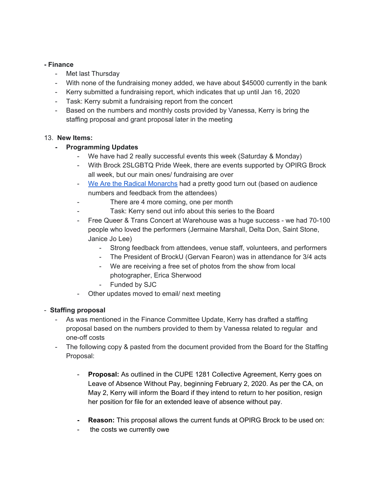#### **- Finance**

- Met last Thursday
- With none of the fundraising money added, we have about \$45000 currently in the bank
- Kerry submitted a fundraising report, which indicates that up until Jan 16, 2020
- Task: Kerry submit a fundraising report from the concert
- Based on the numbers and monthly costs provided by Vanessa, Kerry is bring the staffing proposal and grant proposal later in the meeting

#### 13. **New Items:**

#### **- Programming Updates**

- We have had 2 really successful events this week (Saturday & Monday)
- With Brock 2SLGBTQ Pride Week, there are events supported by OPIRG Brock all week, but our main ones/ fundraising are over
- We Are the Radical [Monarchs](https://www.youtube.com/watch?v=ULCPF5dZSrA) had a pretty good turn out (based on audience numbers and feedback from the attendees)
- There are 4 more coming, one per month
- Task: Kerry send out info about this series to the Board
- Free Queer & Trans Concert at Warehouse was a huge success we had 70-100 people who loved the performers (Jermaine Marshall, Delta Don, Saint Stone, Janice Jo Lee)
	- Strong feedback from attendees, venue staff, volunteers, and performers
	- The President of BrockU (Gervan Fearon) was in attendance for 3/4 acts
	- We are receiving a free set of photos from the show from local photographer, Erica Sherwood
	- Funded by SJC
- Other updates moved to email/ next meeting

#### - **Staffing proposal**

- As was mentioned in the Finance Committee Update, Kerry has drafted a staffing proposal based on the numbers provided to them by Vanessa related to regular and one-off costs
- The following copy & pasted from the document provided from the Board for the Staffing Proposal:
	- Proposal: As outlined in the CUPE 1281 Collective Agreement, Kerry goes on Leave of Absence Without Pay, beginning February 2, 2020. As per the CA, on May 2, Kerry will inform the Board if they intend to return to her position, resign her position for file for an extended leave of absence without pay.
	- **- Reason:** This proposal allows the current funds at OPIRG Brock to be used on:
	- the costs we currently owe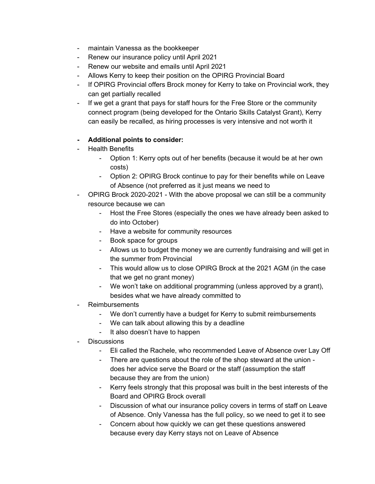- maintain Vanessa as the bookkeeper
- Renew our insurance policy until April 2021
- Renew our website and emails until April 2021
- Allows Kerry to keep their position on the OPIRG Provincial Board
- If OPIRG Provincial offers Brock money for Kerry to take on Provincial work, they can get partially recalled
- If we get a grant that pays for staff hours for the Free Store or the community connect program (being developed for the Ontario Skills Catalyst Grant), Kerry can easily be recalled, as hiring processes is very intensive and not worth it

#### **- Additional points to consider:**

- Health Benefits
	- Option 1: Kerry opts out of her benefits (because it would be at her own costs)
	- Option 2: OPIRG Brock continue to pay for their benefits while on Leave of Absence (not preferred as it just means we need to
- OPIRG Brock 2020-2021 With the above proposal we can still be a community resource because we can
	- Host the Free Stores (especially the ones we have already been asked to do into October)
	- Have a website for community resources
	- Book space for groups
	- Allows us to budget the money we are currently fundraising and will get in the summer from Provincial
	- This would allow us to close OPIRG Brock at the 2021 AGM (in the case that we get no grant money)
	- We won't take on additional programming (unless approved by a grant), besides what we have already committed to
- **Reimbursements** 
	- We don't currently have a budget for Kerry to submit reimbursements
	- We can talk about allowing this by a deadline
	- It also doesn't have to happen
- **Discussions** 
	- Eli called the Rachele, who recommended Leave of Absence over Lay Off
	- There are questions about the role of the shop steward at the union does her advice serve the Board or the staff (assumption the staff because they are from the union)
	- Kerry feels strongly that this proposal was built in the best interests of the Board and OPIRG Brock overall
	- Discussion of what our insurance policy covers in terms of staff on Leave of Absence. Only Vanessa has the full policy, so we need to get it to see
	- Concern about how quickly we can get these questions answered because every day Kerry stays not on Leave of Absence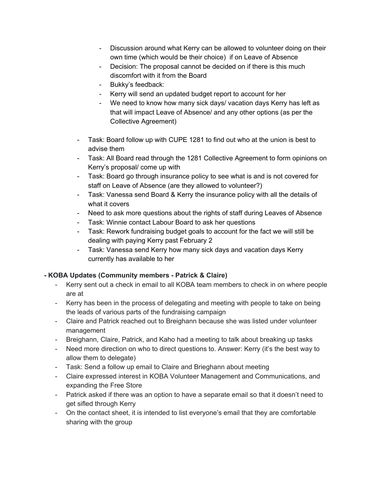- Discussion around what Kerry can be allowed to volunteer doing on their own time (which would be their choice) if on Leave of Absence
- Decision: The proposal cannot be decided on if there is this much discomfort with it from the Board
- Bukky's feedback:
- Kerry will send an updated budget report to account for her
- We need to know how many sick days/ vacation days Kerry has left as that will impact Leave of Absence/ and any other options (as per the Collective Agreement)
- Task: Board follow up with CUPE 1281 to find out who at the union is best to advise them
- Task: All Board read through the 1281 Collective Agreement to form opinions on Kerry's proposal/ come up with
- Task: Board go through insurance policy to see what is and is not covered for staff on Leave of Absence (are they allowed to volunteer?)
- Task: Vanessa send Board & Kerry the insurance policy with all the details of what it covers
- Need to ask more questions about the rights of staff during Leaves of Absence
- Task: Winnie contact Labour Board to ask her questions
- Task: Rework fundraising budget goals to account for the fact we will still be dealing with paying Kerry past February 2
- Task: Vanessa send Kerry how many sick days and vacation days Kerry currently has available to her

#### **- KOBA Updates (Community members - Patrick & Claire)**

- Kerry sent out a check in email to all KOBA team members to check in on where people are at
- Kerry has been in the process of delegating and meeting with people to take on being the leads of various parts of the fundraising campaign
- Claire and Patrick reached out to Breighann because she was listed under volunteer management
- Breighann, Claire, Patrick, and Kaho had a meeting to talk about breaking up tasks
- Need more direction on who to direct questions to. Answer: Kerry (it's the best way to allow them to delegate)
- Task: Send a follow up email to Claire and Brieghann about meeting
- Claire expressed interest in KOBA Volunteer Management and Communications, and expanding the Free Store
- Patrick asked if there was an option to have a separate email so that it doesn't need to get sifled through Kerry
- On the contact sheet, it is intended to list everyone's email that they are comfortable sharing with the group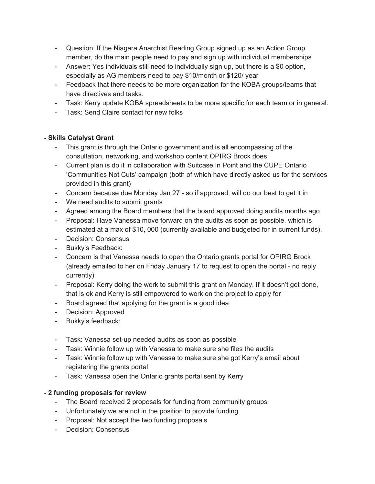- Question: If the Niagara Anarchist Reading Group signed up as an Action Group member, do the main people need to pay and sign up with individual memberships
- Answer: Yes individuals still need to individually sign up, but there is a \$0 option, especially as AG members need to pay \$10/month or \$120/ year
- Feedback that there needs to be more organization for the KOBA groups/teams that have directives and tasks.
- Task: Kerry update KOBA spreadsheets to be more specific for each team or in general.
- Task: Send Claire contact for new folks

#### **- Skills Catalyst Grant**

- This grant is through the Ontario government and is all encompassing of the consultation, networking, and workshop content OPIRG Brock does
- Current plan is do it in collaboration with Suitcase In Point and the CUPE Ontario 'Communities Not Cuts' campaign (both of which have directly asked us for the services provided in this grant)
- Concern because due Monday Jan 27 so if approved, will do our best to get it in
- We need audits to submit grants
- Agreed among the Board members that the board approved doing audits months ago
- Proposal: Have Vanessa move forward on the audits as soon as possible, which is estimated at a max of \$10, 000 (currently available and budgeted for in current funds).
- Decision: Consensus
- Bukky's Feedback:
- Concern is that Vanessa needs to open the Ontario grants portal for OPIRG Brock (already emailed to her on Friday January 17 to request to open the portal - no reply currently)
- Proposal: Kerry doing the work to submit this grant on Monday. If it doesn't get done, that is ok and Kerry is still empowered to work on the project to apply for
- Board agreed that applying for the grant is a good idea
- Decision: Approved
- Bukky's feedback:
- Task: Vanessa set-up needed audits as soon as possible
- Task: Winnie follow up with Vanessa to make sure she files the audits
- Task: Winnie follow up with Vanessa to make sure she got Kerry's email about registering the grants portal
- Task: Vanessa open the Ontario grants portal sent by Kerry

#### **- 2 funding proposals for review**

- The Board received 2 proposals for funding from community groups
- Unfortunately we are not in the position to provide funding
- Proposal: Not accept the two funding proposals
- Decision: Consensus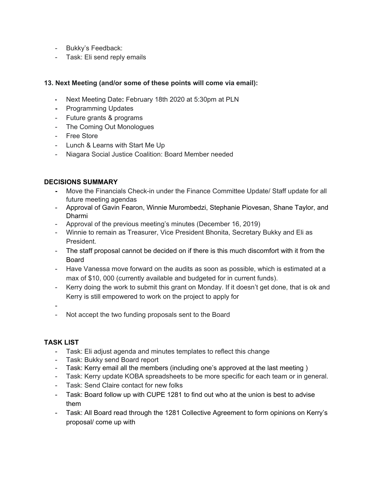- Bukky's Feedback:
- Task: Eli send reply emails

#### **13. Next Meeting (and/or some of these points will come via email):**

- **-** Next Meeting Date**:** February 18th 2020 at 5:30pm at PLN
- **-** Programming Updates
- Future grants & programs
- The Coming Out Monologues
- Free Store
- Lunch & Learns with Start Me Up
- Niagara Social Justice Coalition: Board Member needed

#### **DECISIONS SUMMARY**

- **-** Move the Financials Check-in under the Finance Committee Update/ Staff update for all future meeting agendas
- Approval of Gavin Fearon, Winnie Murombedzi, Stephanie Piovesan, Shane Taylor, and Dharmi
- Approval of the previous meeting's minutes (December 16, 2019)
- Winnie to remain as Treasurer, Vice President Bhonita, Secretary Bukky and Eli as President.
- The staff proposal cannot be decided on if there is this much discomfort with it from the Board
- Have Vanessa move forward on the audits as soon as possible, which is estimated at a max of \$10, 000 (currently available and budgeted for in current funds).
- Kerry doing the work to submit this grant on Monday. If it doesn't get done, that is ok and Kerry is still empowered to work on the project to apply for

-

- Not accept the two funding proposals sent to the Board

#### **TASK LIST**

- Task: Eli adjust agenda and minutes templates to reflect this change
- Task: Bukky send Board report
- Task: Kerry email all the members (including one's approved at the last meeting )
- Task: Kerry update KOBA spreadsheets to be more specific for each team or in general.
- Task: Send Claire contact for new folks
- Task: Board follow up with CUPE 1281 to find out who at the union is best to advise them
- Task: All Board read through the 1281 Collective Agreement to form opinions on Kerry's proposal/ come up with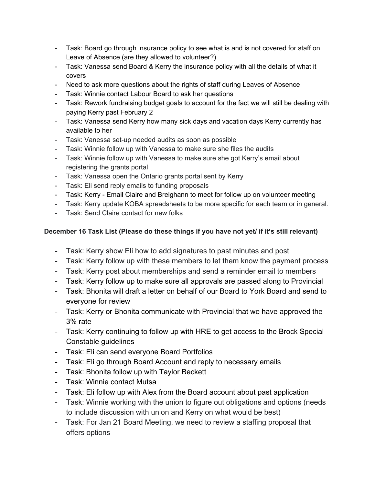- Task: Board go through insurance policy to see what is and is not covered for staff on Leave of Absence (are they allowed to volunteer?)
- Task: Vanessa send Board & Kerry the insurance policy with all the details of what it covers
- Need to ask more questions about the rights of staff during Leaves of Absence
- Task: Winnie contact Labour Board to ask her questions
- Task: Rework fundraising budget goals to account for the fact we will still be dealing with paying Kerry past February 2
- Task: Vanessa send Kerry how many sick days and vacation days Kerry currently has available to her
- Task: Vanessa set-up needed audits as soon as possible
- Task: Winnie follow up with Vanessa to make sure she files the audits
- Task: Winnie follow up with Vanessa to make sure she got Kerry's email about registering the grants portal
- Task: Vanessa open the Ontario grants portal sent by Kerry
- Task: Eli send reply emails to funding proposals
- Task: Kerry Email Claire and Breighann to meet for follow up on volunteer meeting
- Task: Kerry update KOBA spreadsheets to be more specific for each team or in general.
- Task: Send Claire contact for new folks

### **December 16 Task List (Please do these things if you have not yet/ if it's still relevant)**

- Task: Kerry show Eli how to add signatures to past minutes and post
- Task: Kerry follow up with these members to let them know the payment process
- Task: Kerry post about memberships and send a reminder email to members
- Task: Kerry follow up to make sure all approvals are passed along to Provincial
- Task: Bhonita will draft a letter on behalf of our Board to York Board and send to everyone for review
- Task: Kerry or Bhonita communicate with Provincial that we have approved the 3% rate
- Task: Kerry continuing to follow up with HRE to get access to the Brock Special Constable guidelines
- Task: Eli can send everyone Board Portfolios
- Task: Eli go through Board Account and reply to necessary emails
- Task: Bhonita follow up with Taylor Beckett
- Task: Winnie contact Mutsa
- Task: Eli follow up with Alex from the Board account about past application
- Task: Winnie working with the union to figure out obligations and options (needs to include discussion with union and Kerry on what would be best)
- Task: For Jan 21 Board Meeting, we need to review a staffing proposal that offers options